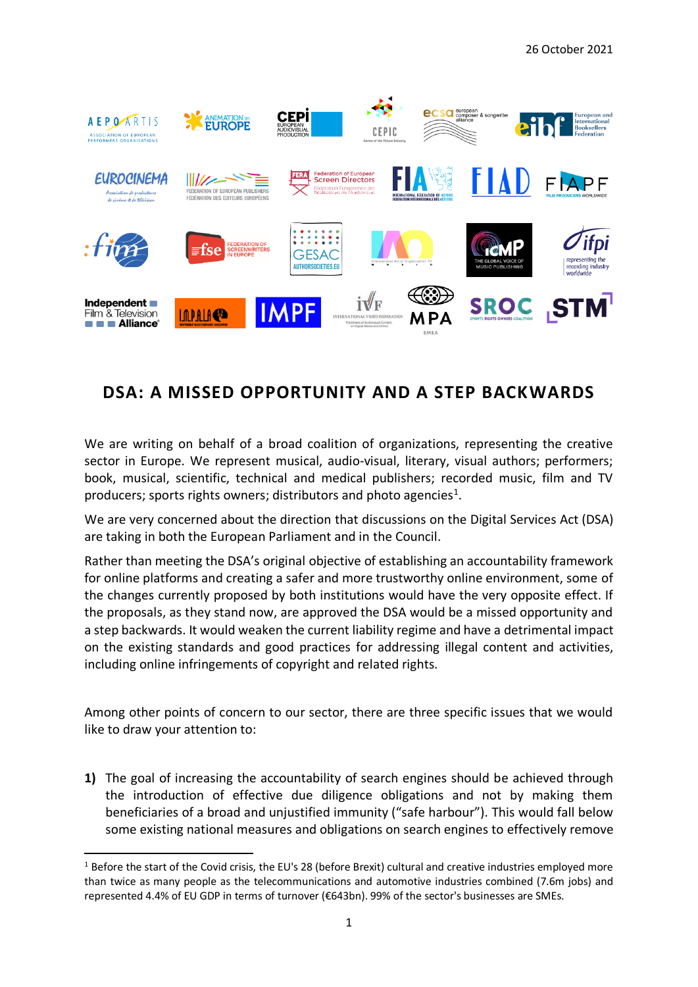

## **DSA: A MISSED OPPORTUNITY AND A STEP BACKWARDS**

We are writing on behalf of a broad coalition of organizations, representing the creative sector in Europe. We represent musical, audio-visual, literary, visual authors; performers; book, musical, scientific, technical and medical publishers; recorded music, film and TV producers; sports rights owners; distributors and photo agencies<sup>1</sup>.

We are very concerned about the direction that discussions on the Digital Services Act (DSA) are taking in both the European Parliament and in the Council.

Rather than meeting the DSA's original objective of establishing an accountability framework for online platforms and creating a safer and more trustworthy online environment, some of the changes currently proposed by both institutions would have the very opposite effect. If the proposals, as they stand now, are approved the DSA would be a missed opportunity and a step backwards. It would weaken the current liability regime and have a detrimental impact on the existing standards and good practices for addressing illegal content and activities, including online infringements of copyright and related rights.

Among other points of concern to our sector, there are three specific issues that we would like to draw your attention to:

**1)** The goal of increasing the accountability of search engines should be achieved through the introduction of effective due diligence obligations and not by making them beneficiaries of a broad and unjustified immunity ("safe harbour"). This would fall below some existing national measures and obligations on search engines to effectively remove

<sup>&</sup>lt;sup>1</sup> Before the start of the Covid crisis, the EU's 28 (before Brexit) cultural and creative industries employed more than twice as many people as the telecommunications and automotive industries combined (7.6m jobs) and represented 4.4% of EU GDP in terms of turnover (€643bn). 99% of the sector's businesses are SMEs.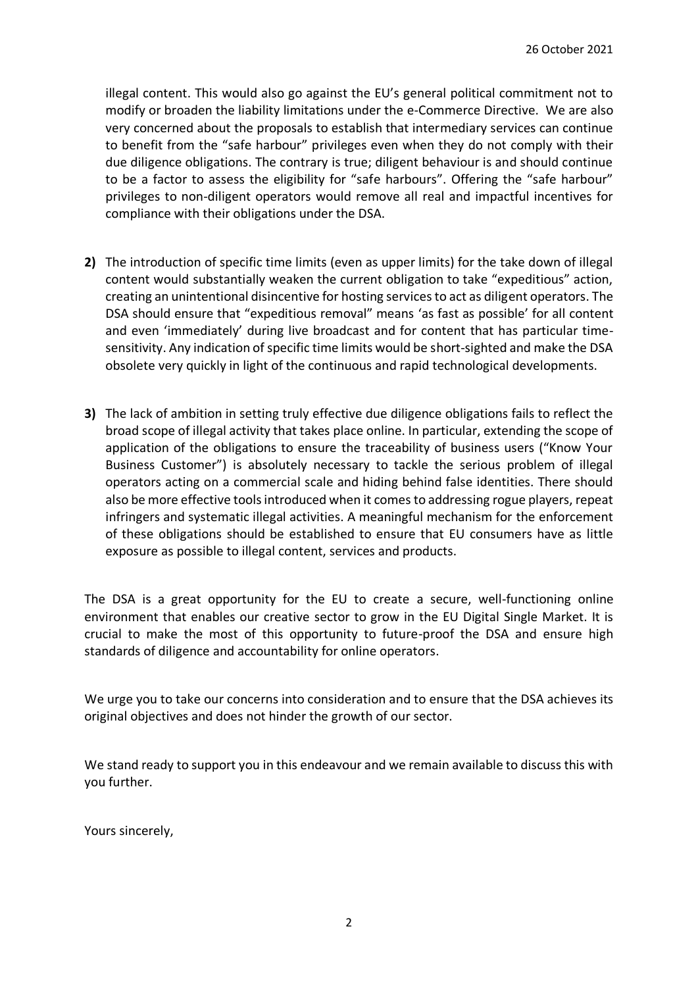illegal content. This would also go against the EU's general political commitment not to modify or broaden the liability limitations under the e-Commerce Directive. We are also very concerned about the proposals to establish that intermediary services can continue to benefit from the "safe harbour" privileges even when they do not comply with their due diligence obligations. The contrary is true; diligent behaviour is and should continue to be a factor to assess the eligibility for "safe harbours". Offering the "safe harbour" privileges to non-diligent operators would remove all real and impactful incentives for compliance with their obligations under the DSA.

- **2)** The introduction of specific time limits (even as upper limits) for the take down of illegal content would substantially weaken the current obligation to take "expeditious" action, creating an unintentional disincentive for hosting services to act as diligent operators. The DSA should ensure that "expeditious removal" means 'as fast as possible' for all content and even 'immediately' during live broadcast and for content that has particular timesensitivity. Any indication of specific time limits would be short-sighted and make the DSA obsolete very quickly in light of the continuous and rapid technological developments.
- **3)** The lack of ambition in setting truly effective due diligence obligations fails to reflect the broad scope of illegal activity that takes place online. In particular, extending the scope of application of the obligations to ensure the traceability of business users ("Know Your Business Customer") is absolutely necessary to tackle the serious problem of illegal operators acting on a commercial scale and hiding behind false identities. There should also be more effective tools introduced when it comes to addressing rogue players, repeat infringers and systematic illegal activities. A meaningful mechanism for the enforcement of these obligations should be established to ensure that EU consumers have as little exposure as possible to illegal content, services and products.

The DSA is a great opportunity for the EU to create a secure, well-functioning online environment that enables our creative sector to grow in the EU Digital Single Market. It is crucial to make the most of this opportunity to future-proof the DSA and ensure high standards of diligence and accountability for online operators.

We urge you to take our concerns into consideration and to ensure that the DSA achieves its original objectives and does not hinder the growth of our sector.

We stand ready to support you in this endeavour and we remain available to discuss this with you further.

Yours sincerely,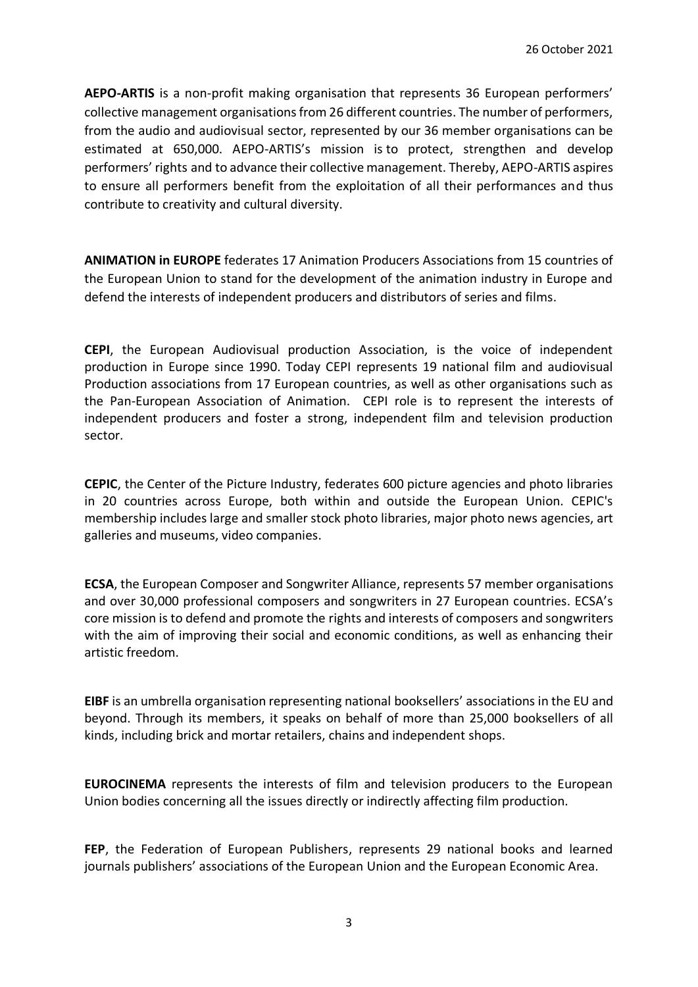**AEPO-ARTIS** is a non-profit making organisation that represents 36 European performers' collective management organisations from 26 different countries. The number of performers, from the audio and audiovisual sector, represented by our 36 member organisations can be estimated at 650,000. AEPO-ARTIS's mission is to protect, strengthen and develop performers' rights and to advance their collective management. Thereby, AEPO-ARTIS aspires to ensure all performers benefit from the exploitation of all their performances and thus contribute to creativity and cultural diversity.

**ANIMATION in EUROPE** federates 17 Animation Producers Associations from 15 countries of the European Union to stand for the development of the animation industry in Europe and defend the interests of independent producers and distributors of series and films.

**CEPI**, the European Audiovisual production Association, is the voice of independent production in Europe since 1990. Today CEPI represents 19 national film and audiovisual Production associations from 17 European countries, as well as other organisations such as the Pan-European Association of Animation. CEPI role is to represent the interests of independent producers and foster a strong, independent film and television production sector.

**CEPIC**, the Center of the Picture Industry, federates 600 picture agencies and photo libraries in 20 countries across Europe, both within and outside the European Union. CEPIC's membership includes large and smaller stock photo libraries, major photo news agencies, art galleries and museums, video companies.

**ECSA**, the European Composer and Songwriter Alliance, represents 57 member organisations and over 30,000 professional composers and songwriters in 27 European countries. ECSA's core mission is to defend and promote the rights and interests of composers and songwriters with the aim of improving their social and economic conditions, as well as enhancing their artistic freedom.

**EIBF** is an umbrella organisation representing national booksellers' associations in the EU and beyond. Through its members, it speaks on behalf of more than 25,000 booksellers of all kinds, including brick and mortar retailers, chains and independent shops.

**EUROCINEMA** represents the interests of film and television producers to the European Union bodies concerning all the issues directly or indirectly affecting film production.

**FEP**, the Federation of European Publishers, represents 29 national books and learned journals publishers' associations of the European Union and the European Economic Area.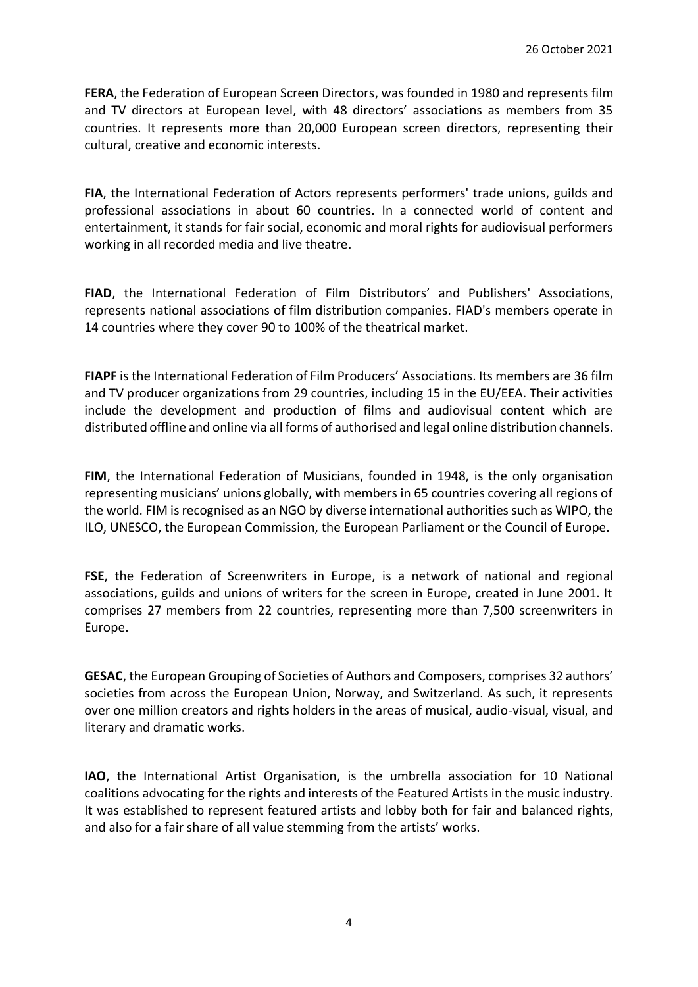**FERA**, the Federation of European Screen Directors, was founded in 1980 and represents film and TV directors at European level, with 48 directors' associations as members from 35 countries. It represents more than 20,000 European screen directors, representing their cultural, creative and economic interests.

**FIA**, the International Federation of Actors represents performers' trade unions, guilds and professional associations in about 60 countries. In a connected world of content and entertainment, it stands for fair social, economic and moral rights for audiovisual performers working in all recorded media and live theatre.

**FIAD**, the International Federation of Film Distributors' and Publishers' Associations, represents national associations of film distribution companies. FIAD's members operate in 14 countries where they cover 90 to 100% of the theatrical market.

**FIAPF** is the International Federation of Film Producers' Associations. Its members are 36 film and TV producer organizations from 29 countries, including 15 in the EU/EEA. Their activities include the development and production of films and audiovisual content which are distributed offline and online via all forms of authorised and legal online distribution channels.

**FIM**, the International Federation of Musicians, founded in 1948, is the only organisation representing musicians' unions globally, with members in 65 countries covering all regions of the world. FIM is recognised as an NGO by diverse international authorities such as WIPO, the ILO, UNESCO, the European Commission, the European Parliament or the Council of Europe.

**FSE**, the Federation of Screenwriters in Europe, is a network of national and regional associations, guilds and unions of writers for the screen in Europe, created in June 2001. It comprises 27 members from 22 countries, representing more than 7,500 screenwriters in Europe.

**GESAC**, the European Grouping of Societies of Authors and Composers, comprises 32 authors' societies from across the European Union, Norway, and Switzerland. As such, it represents over one million creators and rights holders in the areas of musical, audio-visual, visual, and literary and dramatic works.

**IAO**, the International Artist Organisation, is the umbrella association for 10 National coalitions advocating for the rights and interests of the Featured Artists in the music industry. It was established to represent featured artists and lobby both for fair and balanced rights, and also for a fair share of all value stemming from the artists' works.